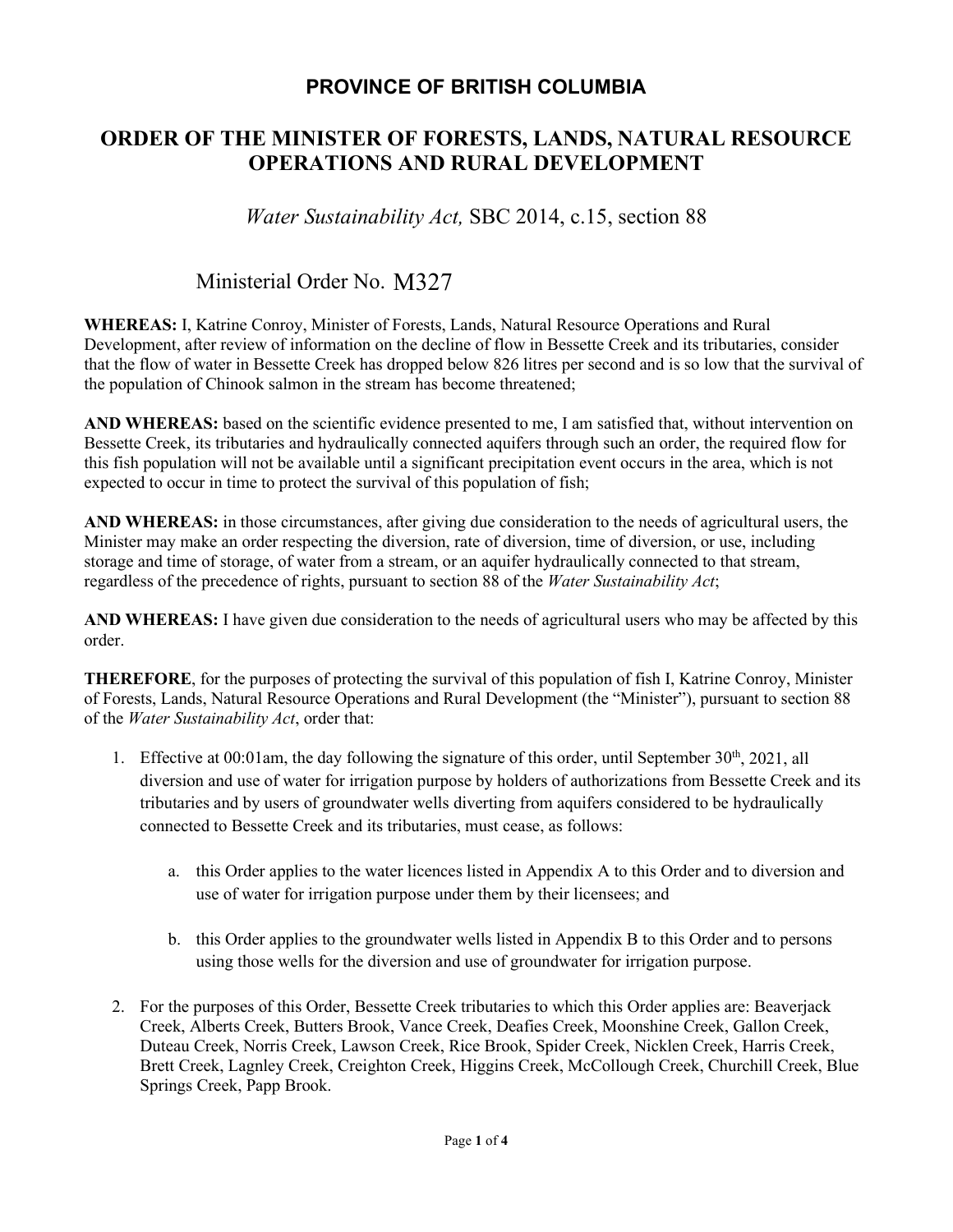## **PROVINCE OF BRITISH COLUMBIA**

## **ORDER OF THE MINISTER OF FORESTS, LANDS, NATURAL RESOURCE OPERATIONS AND RURAL DEVELOPMENT**

*Water Sustainability Act,* SBC 2014, c.15, section 88

# Ministerial Order No. M327

**WHEREAS:** I, Katrine Conroy, Minister of Forests, Lands, Natural Resource Operations and Rural Development, after review of information on the decline of flow in Bessette Creek and its tributaries, consider that the flow of water in Bessette Creek has dropped below 826 litres per second and is so low that the survival of the population of Chinook salmon in the stream has become threatened;

**AND WHEREAS:** based on the scientific evidence presented to me, I am satisfied that, without intervention on Bessette Creek, its tributaries and hydraulically connected aquifers through such an order, the required flow for this fish population will not be available until a significant precipitation event occurs in the area, which is not expected to occur in time to protect the survival of this population of fish;

**AND WHEREAS:** in those circumstances, after giving due consideration to the needs of agricultural users, the Minister may make an order respecting the diversion, rate of diversion, time of diversion, or use, including storage and time of storage, of water from a stream, or an aquifer hydraulically connected to that stream, regardless of the precedence of rights, pursuant to section 88 of the *Water Sustainability Act*;

**AND WHEREAS:** I have given due consideration to the needs of agricultural users who may be affected by this order.

**THEREFORE**, for the purposes of protecting the survival of this population of fish I, Katrine Conroy, Minister of Forests, Lands, Natural Resource Operations and Rural Development (the "Minister"), pursuant to section 88 of the *Water Sustainability Act*, order that:

- 1. Effective at 00:01am, the day following the signature of this order, until September  $30<sup>th</sup>$ , 2021, all diversion and use of water for irrigation purpose by holders of authorizations from Bessette Creek and its tributaries and by users of groundwater wells diverting from aquifers considered to be hydraulically connected to Bessette Creek and its tributaries, must cease, as follows:
	- a. this Order applies to the water licences listed in Appendix A to this Order and to diversion and use of water for irrigation purpose under them by their licensees; and
	- b. this Order applies to the groundwater wells listed in Appendix B to this Order and to persons using those wells for the diversion and use of groundwater for irrigation purpose.
- 2. For the purposes of this Order, Bessette Creek tributaries to which this Order applies are: Beaverjack Creek, Alberts Creek, Butters Brook, Vance Creek, Deafies Creek, Moonshine Creek, Gallon Creek, Duteau Creek, Norris Creek, Lawson Creek, Rice Brook, Spider Creek, Nicklen Creek, Harris Creek, Brett Creek, Lagnley Creek, Creighton Creek, Higgins Creek, McCollough Creek, Churchill Creek, Blue Springs Creek, Papp Brook.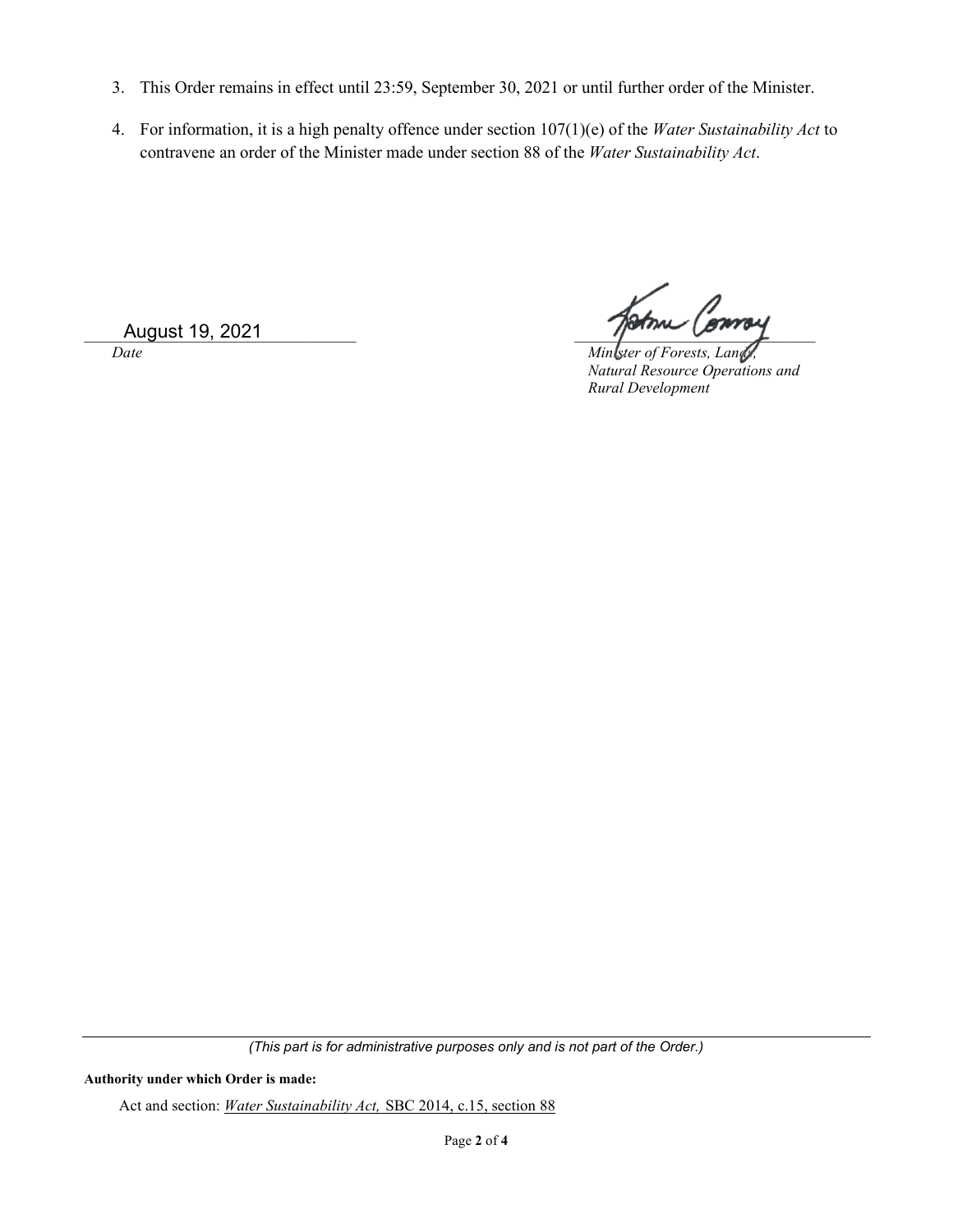- 3. This Order remains in effect until 23:59, September 30, 2021 or until further order of the Minister.
- 4. For information, it is a high penalty offence under section 107(1)(e) of the *Water Sustainability Act* to contravene an order of the Minister made under section 88 of the *Water Sustainability Act*.

\_\_\_\_\_\_\_\_\_\_\_\_\_\_\_\_\_\_\_\_\_\_\_\_\_\_\_\_\_\_\_\_\_\_\_ \_\_\_\_\_\_\_\_\_\_\_\_\_\_\_\_\_\_\_\_\_\_\_\_\_\_\_\_\_\_\_ August 19, 2021

*Date Minister of Forests, Lands Natural Resource Operations and Rural Development*

*(This part is for administrative purposes only and is not part of the Order.)*

#### **Authority under which Order is made:**

Act and section: *Water Sustainability Act,* SBC 2014, c.15, section 88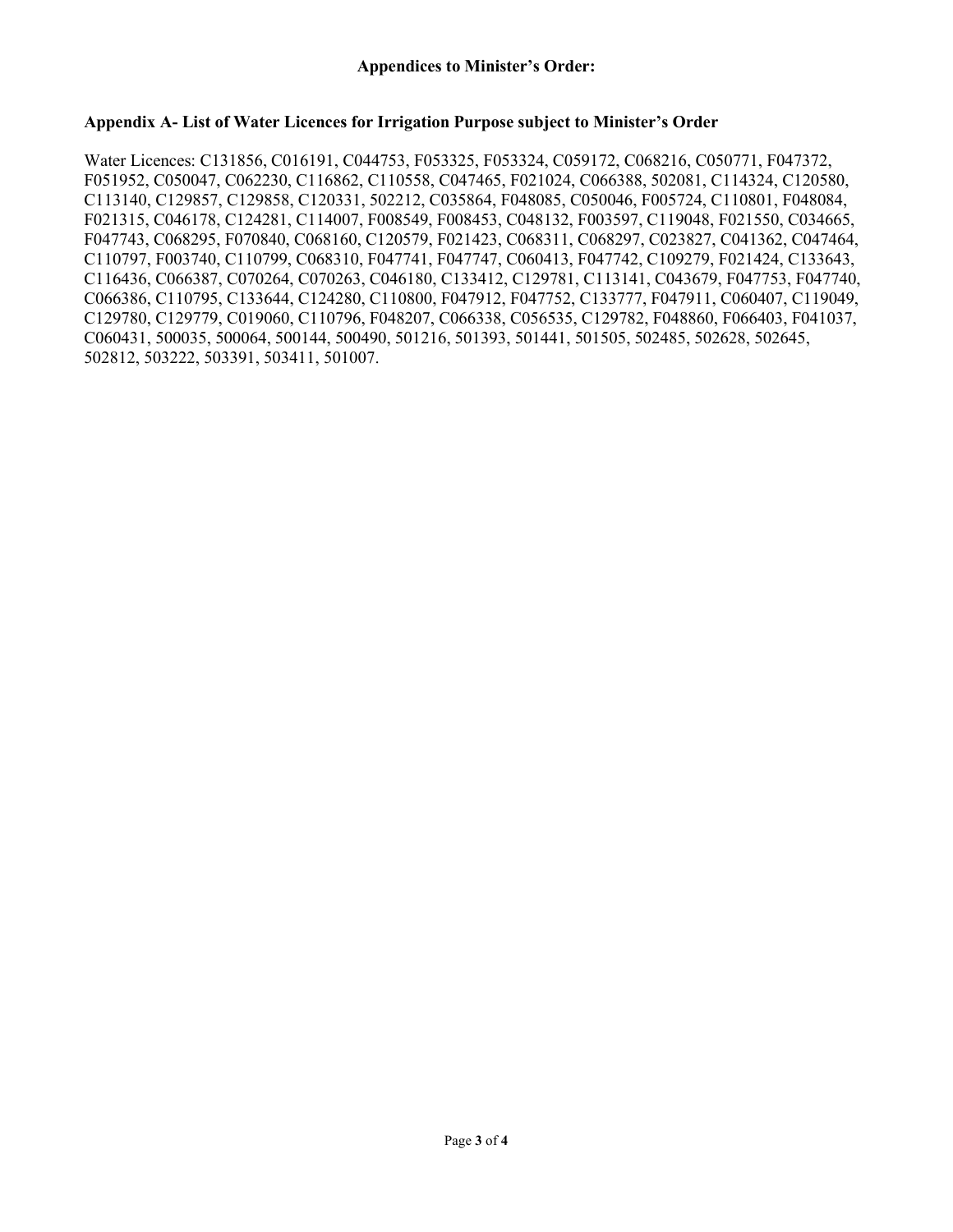### **Appendix A- List of Water Licences for Irrigation Purpose subject to Minister's Order**

Water Licences: C131856, C016191, C044753, F053325, F053324, C059172, C068216, C050771, F047372, F051952, C050047, C062230, C116862, C110558, C047465, F021024, C066388, 502081, C114324, C120580, C113140, C129857, C129858, C120331, 502212, C035864, F048085, C050046, F005724, C110801, F048084, F021315, C046178, C124281, C114007, F008549, F008453, C048132, F003597, C119048, F021550, C034665, F047743, C068295, F070840, C068160, C120579, F021423, C068311, C068297, C023827, C041362, C047464, C110797, F003740, C110799, C068310, F047741, F047747, C060413, F047742, C109279, F021424, C133643, C116436, C066387, C070264, C070263, C046180, C133412, C129781, C113141, C043679, F047753, F047740, C066386, C110795, C133644, C124280, C110800, F047912, F047752, C133777, F047911, C060407, C119049, C129780, C129779, C019060, C110796, F048207, C066338, C056535, C129782, F048860, F066403, F041037, C060431, 500035, 500064, 500144, 500490, 501216, 501393, 501441, 501505, 502485, 502628, 502645, 502812, 503222, 503391, 503411, 501007.